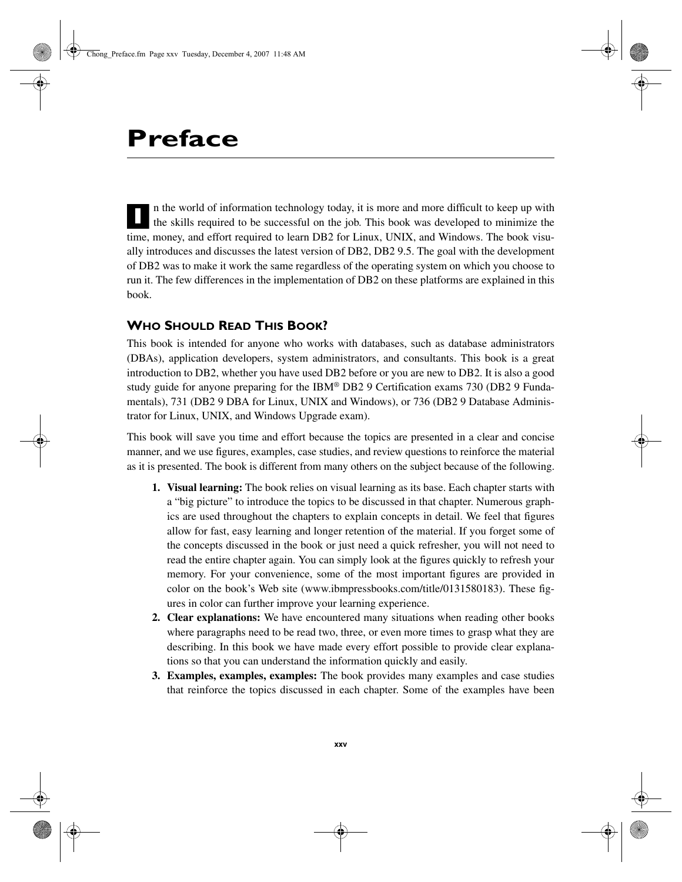n the world of information technology today, it is more and more difficult to keep up with the skills required to be successful on the job. This book was developed to minimize the time, money, and effort required to learn DB2 for Linux, UNIX, and Windows. The book visually introduces and discusses the latest version of DB2, DB2 9.5. The goal with the development of DB2 was to make it work the same regardless of the operating system on which you choose to run it. The few differences in the implementation of DB2 on these platforms are explained in this book. **I**

### **WHO SHOULD READ THIS BOOK?**

This book is intended for anyone who works with databases, such as database administrators (DBAs), application developers, system administrators, and consultants. This book is a great introduction to DB2, whether you have used DB2 before or you are new to DB2. It is also a good study guide for anyone preparing for the IBM® DB2 9 Certification exams 730 (DB2 9 Fundamentals), 731 (DB2 9 DBA for Linux, UNIX and Windows), or 736 (DB2 9 Database Administrator for Linux, UNIX, and Windows Upgrade exam).

This book will save you time and effort because the topics are presented in a clear and concise manner, and we use figures, examples, case studies, and review questions to reinforce the material as it is presented. The book is different from many others on the subject because of the following.

- **1. Visual learning:** The book relies on visual learning as its base. Each chapter starts with a "big picture" to introduce the topics to be discussed in that chapter. Numerous graphics are used throughout the chapters to explain concepts in detail. We feel that figures allow for fast, easy learning and longer retention of the material. If you forget some of the concepts discussed in the book or just need a quick refresher, you will not need to read the entire chapter again. You can simply look at the figures quickly to refresh your memory. For your convenience, some of the most important figures are provided in color on the book's Web site (www.ibmpressbooks.com/title/0131580183). These figures in color can further improve your learning experience.
- **2. Clear explanations:** We have encountered many situations when reading other books where paragraphs need to be read two, three, or even more times to grasp what they are describing. In this book we have made every effort possible to provide clear explanations so that you can understand the information quickly and easily.
- **3. Examples, examples, examples:** The book provides many examples and case studies that reinforce the topics discussed in each chapter. Some of the examples have been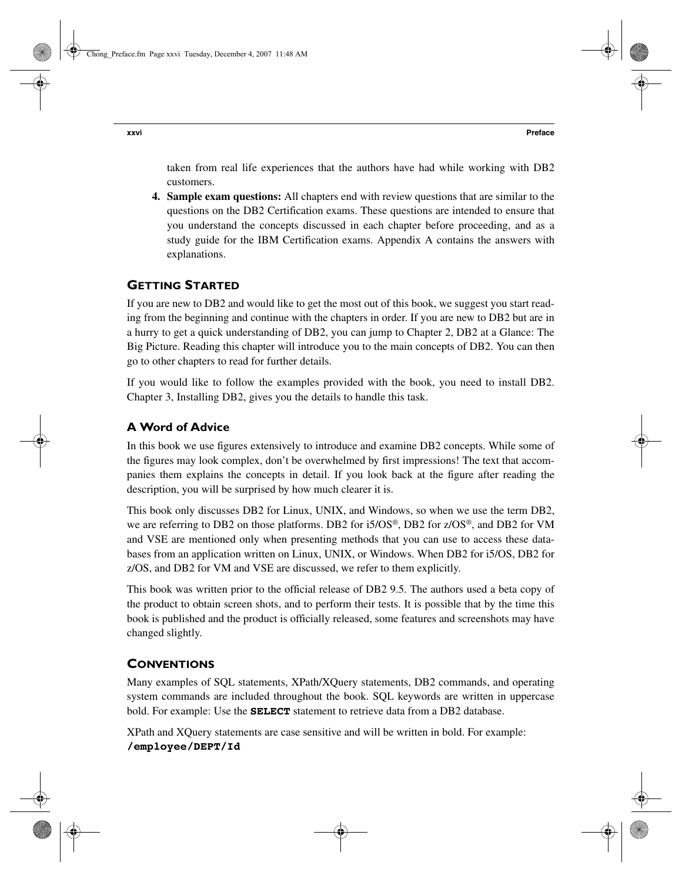taken from real life experiences that the authors have had while working with DB2 customers.

**4. Sample exam questions:** All chapters end with review questions that are similar to the questions on the DB2 Certification exams. These questions are intended to ensure that you understand the concepts discussed in each chapter before proceeding, and as a study guide for the IBM Certification exams. Appendix A contains the answers with explanations.

## **GETTING STARTED**

If you are new to DB2 and would like to get the most out of this book, we suggest you start reading from the beginning and continue with the chapters in order. If you are new to DB2 but are in a hurry to get a quick understanding of DB2, you can jump to Chapter 2, DB2 at a Glance: The Big Picture. Reading this chapter will introduce you to the main concepts of DB2. You can then go to other chapters to read for further details.

If you would like to follow the examples provided with the book, you need to install DB2. Chapter 3, Installing DB2, gives you the details to handle this task.

#### **A Word of Advice**

In this book we use figures extensively to introduce and examine DB2 concepts. While some of the figures may look complex, don't be overwhelmed by first impressions! The text that accompanies them explains the concepts in detail. If you look back at the figure after reading the description, you will be surprised by how much clearer it is.

This book only discusses DB2 for Linux, UNIX, and Windows, so when we use the term DB2, we are referring to DB2 on those platforms. DB2 for i5/OS®, DB2 for z/OS®, and DB2 for VM and VSE are mentioned only when presenting methods that you can use to access these databases from an application written on Linux, UNIX, or Windows. When DB2 for i5/OS, DB2 for z/OS, and DB2 for VM and VSE are discussed, we refer to them explicitly.

This book was written prior to the official release of DB2 9.5. The authors used a beta copy of the product to obtain screen shots, and to perform their tests. It is possible that by the time this book is published and the product is officially released, some features and screenshots may have changed slightly.

#### **CONVENTIONS**

Many examples of SQL statements, XPath/XQuery statements, DB2 commands, and operating system commands are included throughout the book. SQL keywords are written in uppercase bold. For example: Use the **SELECT** statement to retrieve data from a DB2 database.

XPath and XQuery statements are case sensitive and will be written in bold. For example: **/employee/DEPT/Id**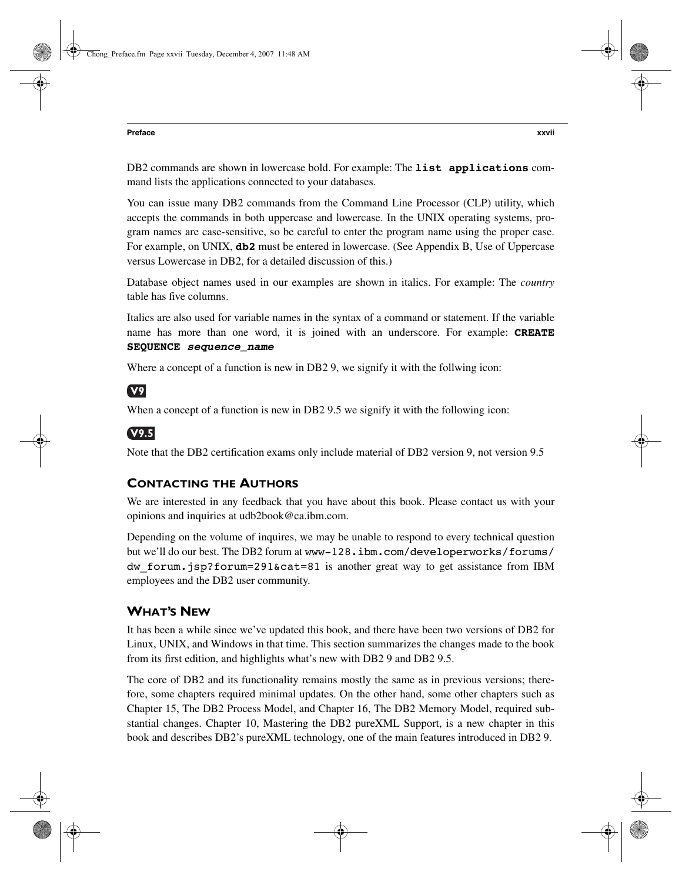#### **Preface xxvii**

DB2 commands are shown in lowercase bold. For example: The **list applications** command lists the applications connected to your databases.

You can issue many DB2 commands from the Command Line Processor (CLP) utility, which accepts the commands in both uppercase and lowercase. In the UNIX operating systems, program names are case-sensitive, so be careful to enter the program name using the proper case. For example, on UNIX, **db2** must be entered in lowercase. (See Appendix B, Use of Uppercase versus Lowercase in DB2, for a detailed discussion of this.)

Database object names used in our examples are shown in italics. For example: The *country* table has five columns.

Italics are also used for variable names in the syntax of a command or statement. If the variable name has more than one word, it is joined with an underscore. For example: **CREATE SEQUENCE** *sequence\_name*

Where a concept of a function is new in DB2 9, we signify it with the follwing icon:

# **V9**

When a concept of a function is new in DB2 9.5 we signify it with the following icon:

## **V9.5**

Note that the DB2 certification exams only include material of DB2 version 9, not version 9.5

#### **CONTACTING THE AUTHORS**

We are interested in any feedback that you have about this book. Please contact us with your opinions and inquiries at udb2book@ca.ibm.com.

Depending on the volume of inquires, we may be unable to respond to every technical question but we'll do our best. The DB2 forum at www-128.ibm.com/developerworks/forums/ dw forum.jsp?forum=291&cat=81 is another great way to get assistance from IBM employees and the DB2 user community.

## **WHAT'S NEW**

It has been a while since we've updated this book, and there have been two versions of DB2 for Linux, UNIX, and Windows in that time. This section summarizes the changes made to the book from its first edition, and highlights what's new with DB2 9 and DB2 9.5.

The core of DB2 and its functionality remains mostly the same as in previous versions; therefore, some chapters required minimal updates. On the other hand, some other chapters such as Chapter 15, The DB2 Process Model, and Chapter 16, The DB2 Memory Model, required substantial changes. Chapter 10, Mastering the DB2 pureXML Support, is a new chapter in this book and describes DB2's pureXML technology, one of the main features introduced in DB2 9.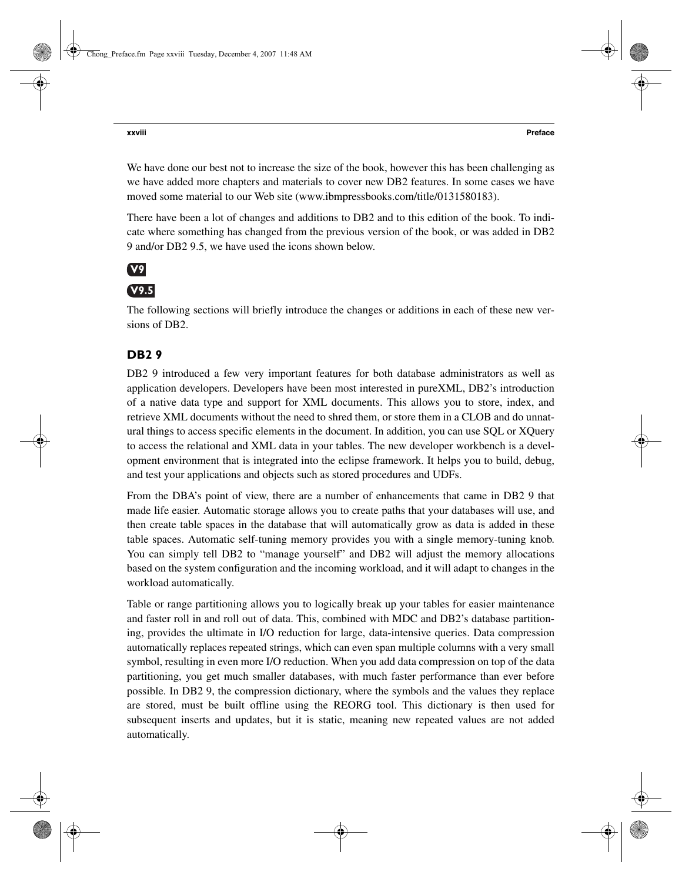We have done our best not to increase the size of the book, however this has been challenging as we have added more chapters and materials to cover new DB2 features. In some cases we have moved some material to our Web site (www.ibmpressbooks.com/title/0131580183).

There have been a lot of changes and additions to DB2 and to this edition of the book. To indicate where something has changed from the previous version of the book, or was added in DB2 9 and/or DB2 9.5, we have used the icons shown below.

# **V9 V9.5**

The following sections will briefly introduce the changes or additions in each of these new versions of DB2.

#### **DB2 9**

DB2 9 introduced a few very important features for both database administrators as well as application developers. Developers have been most interested in pureXML, DB2's introduction of a native data type and support for XML documents. This allows you to store, index, and retrieve XML documents without the need to shred them, or store them in a CLOB and do unnatural things to access specific elements in the document. In addition, you can use SQL or XQuery to access the relational and XML data in your tables. The new developer workbench is a development environment that is integrated into the eclipse framework. It helps you to build, debug, and test your applications and objects such as stored procedures and UDFs.

From the DBA's point of view, there are a number of enhancements that came in DB2 9 that made life easier. Automatic storage allows you to create paths that your databases will use, and then create table spaces in the database that will automatically grow as data is added in these table spaces. Automatic self-tuning memory provides you with a single memory-tuning knob. You can simply tell DB2 to "manage yourself" and DB2 will adjust the memory allocations based on the system configuration and the incoming workload, and it will adapt to changes in the workload automatically.

Table or range partitioning allows you to logically break up your tables for easier maintenance and faster roll in and roll out of data. This, combined with MDC and DB2's database partitioning, provides the ultimate in I/O reduction for large, data-intensive queries. Data compression automatically replaces repeated strings, which can even span multiple columns with a very small symbol, resulting in even more I/O reduction. When you add data compression on top of the data partitioning, you get much smaller databases, with much faster performance than ever before possible. In DB2 9, the compression dictionary, where the symbols and the values they replace are stored, must be built offline using the REORG tool. This dictionary is then used for subsequent inserts and updates, but it is static, meaning new repeated values are not added automatically.